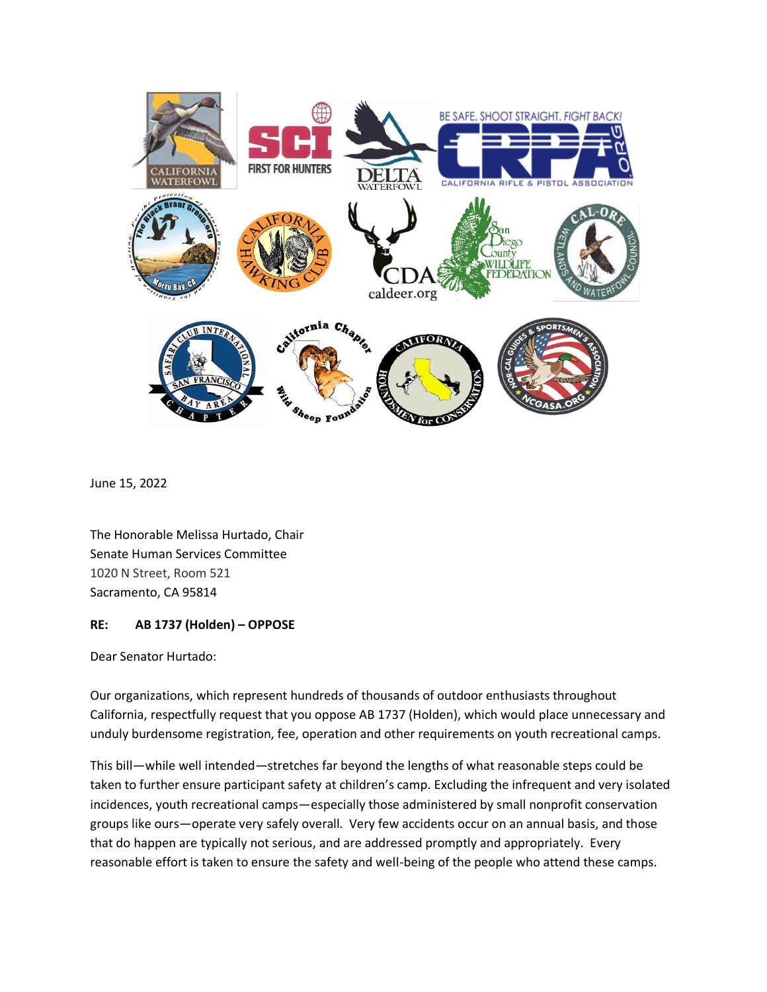

June 15, 2022

The Honorable Melissa Hurtado, Chair Senate Human Services Committee 1020 N Street, Room 521 Sacramento, CA 95814

## **RE: AB 1737 (Holden) – OPPOSE**

Dear Senator Hurtado:

Our organizations, which represent hundreds of thousands of outdoor enthusiasts throughout California, respectfully request that you oppose AB 1737 (Holden), which would place unnecessary and unduly burdensome registration, fee, operation and other requirements on youth recreational camps.

This bill—while well intended—stretches far beyond the lengths of what reasonable steps could be taken to further ensure participant safety at children's camp. Excluding the infrequent and very isolated incidences, youth recreational camps—especially those administered by small nonprofit conservation groups like ours—operate very safely overall. Very few accidents occur on an annual basis, and those that do happen are typically not serious, and are addressed promptly and appropriately. Every reasonable effort is taken to ensure the safety and well-being of the people who attend these camps.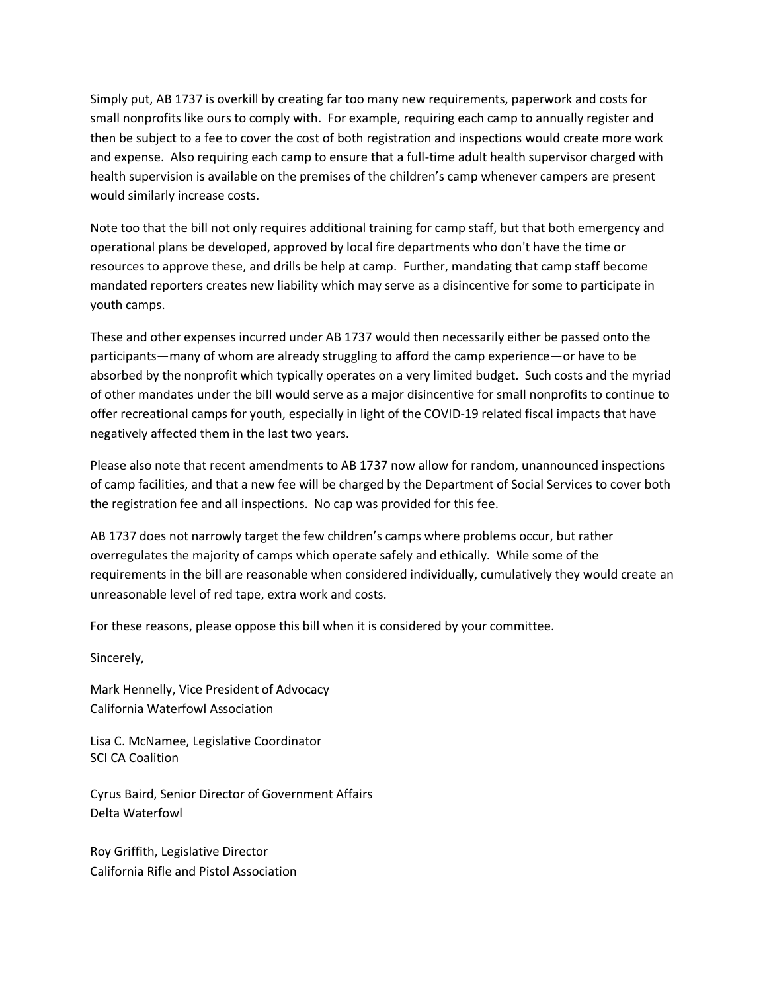Simply put, AB 1737 is overkill by creating far too many new requirements, paperwork and costs for small nonprofits like ours to comply with. For example, requiring each camp to annually register and then be subject to a fee to cover the cost of both registration and inspections would create more work and expense. Also requiring each camp to ensure that a full-time adult health supervisor charged with health supervision is available on the premises of the children's camp whenever campers are present would similarly increase costs.

Note too that the bill not only requires additional training for camp staff, but that both emergency and operational plans be developed, approved by local fire departments who don't have the time or resources to approve these, and drills be help at camp. Further, mandating that camp staff become mandated reporters creates new liability which may serve as a disincentive for some to participate in youth camps.

These and other expenses incurred under AB 1737 would then necessarily either be passed onto the participants—many of whom are already struggling to afford the camp experience—or have to be absorbed by the nonprofit which typically operates on a very limited budget. Such costs and the myriad of other mandates under the bill would serve as a major disincentive for small nonprofits to continue to offer recreational camps for youth, especially in light of the COVID-19 related fiscal impacts that have negatively affected them in the last two years.

Please also note that recent amendments to AB 1737 now allow for random, unannounced inspections of camp facilities, and that a new fee will be charged by the Department of Social Services to cover both the registration fee and all inspections. No cap was provided for this fee.

AB 1737 does not narrowly target the few children's camps where problems occur, but rather overregulates the majority of camps which operate safely and ethically. While some of the requirements in the bill are reasonable when considered individually, cumulatively they would create an unreasonable level of red tape, extra work and costs.

For these reasons, please oppose this bill when it is considered by your committee.

Sincerely,

Mark Hennelly, Vice President of Advocacy California Waterfowl Association

Lisa C. McNamee, Legislative Coordinator SCI CA Coalition

Cyrus Baird, Senior Director of Government Affairs Delta Waterfowl

Roy Griffith, Legislative Director California Rifle and Pistol Association